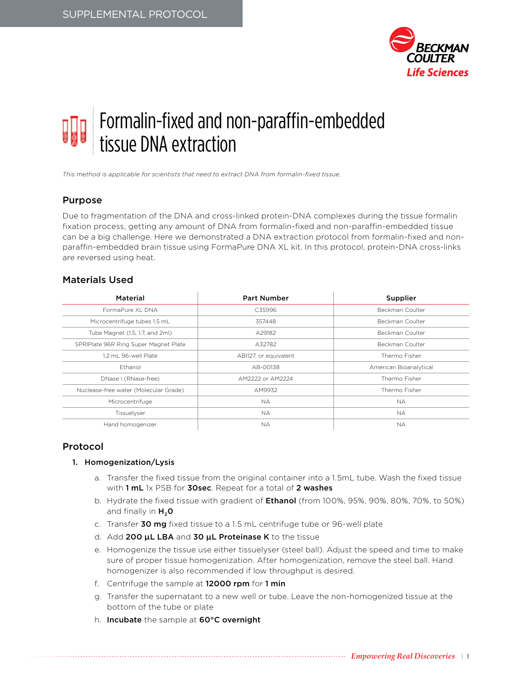

# Formalin-fixed and non-paraffin-embedded tissue DNA extraction

*This method is applicable for scientists that need to extract DNA from formalin-fixed tissue.*

# Purpose

Due to fragmentation of the DNA and cross-linked protein-DNA complexes during the tissue formalin fixation process, getting any amount of DNA from formalin-fixed and non-paraffin-embedded tissue can be a big challenge. Here we demonstrated a DNA extraction protocol from formalin-fixed and nonparaffin-embedded brain tissue using FormaPure DNA XL kit. In this protocol, protein-DNA cross-links are reversed using heat.

# Materials Used

| Material                              | <b>Part Number</b>    | Supplier               |
|---------------------------------------|-----------------------|------------------------|
| FormaPure XL DNA                      | C35996                | Beckman Coulter        |
| Microcentrifuge tubes 1.5 mL          | 357448                | Beckman Coulter        |
| Tube Magnet (1.5, 1.7, and 2ml)       | A29182                | Beckman Coulter        |
| SPRIPlate 96R Ring Super Magnet Plate | A32782                | Beckman Coulter        |
| 1.2 mL 96-well Plate                  | AB1127, or equivalent | Thermo Fisher          |
| Ethanol                               | AB-00138              | American Bioanalytical |
| DNase I (RNase-free)                  | AM2222 or AM2224      | Thermo Fisher          |
| Nuclease-free water (Molecular Grade) | AM9932                | Thermo Fisher          |
| Microcentrifuge                       | NA.                   | <b>NA</b>              |
| Tissuelyser                           | NA.                   | <b>NA</b>              |
| Hand homogenizer                      | <b>NA</b>             | <b>NA</b>              |

# Protocol

# 1. Homogenization/Lysis

- a. Transfer the fixed tissue from the original container into a 1.5mL tube. Wash the fixed tissue with 1 mL 1x PSB for 30sec. Repeat for a total of 2 washes
- b. Hydrate the fixed tissue with gradient of **Ethanol** (from 100%, 95%, 90%, 80%, 70%, to 50%) and finally in  $H_2O$
- c. Transfer 30 mg fixed tissue to a 1.5 mL centrifuge tube or 96-well plate
- d. Add 200 μL LBA and 30 μL Proteinase K to the tissue
- e. Homogenize the tissue use either tissuelyser (steel ball). Adjust the speed and time to make sure of proper tissue homogenization. After homogenization, remove the steel ball. Hand homogenizer is also recommended if low throughput is desired.
- f. Centrifuge the sample at 12000 rpm for 1 min
- g. Transfer the supernatant to a new well or tube. Leave the non-homogenized tissue at the bottom of the tube or plate
- h. Incubate the sample at 60°C overnight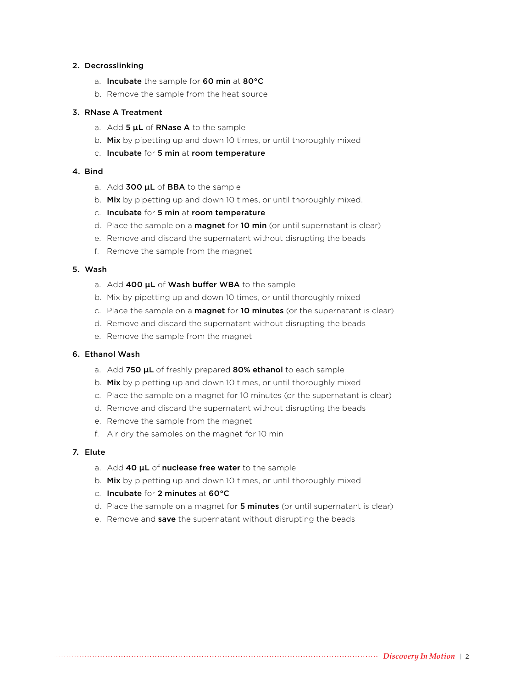#### 2. Decrosslinking

- a. Incubate the sample for 60 min at 80°C
- b. Remove the sample from the heat source

#### 3. RNase A Treatment

- a. Add 5  $\mu$ L of RNase A to the sample
- b. Mix by pipetting up and down 10 times, or until thoroughly mixed
- c. Incubate for 5 min at room temperature

# 4. Bind

- a. Add 300 µL of BBA to the sample
- b. Mix by pipetting up and down 10 times, or until thoroughly mixed.
- c. Incubate for 5 min at room temperature
- d. Place the sample on a **magnet** for 10 min (or until supernatant is clear)
- e. Remove and discard the supernatant without disrupting the beads
- f. Remove the sample from the magnet

#### 5. Wash

- a. Add 400 µL of Wash buffer WBA to the sample
- b. Mix by pipetting up and down 10 times, or until thoroughly mixed
- c. Place the sample on a **magnet** for 10 minutes (or the supernatant is clear)
- d. Remove and discard the supernatant without disrupting the beads
- e. Remove the sample from the magnet

#### 6. Ethanol Wash

- a. Add 750  $\mu$ L of freshly prepared 80% ethanol to each sample
- b. Mix by pipetting up and down 10 times, or until thoroughly mixed
- c. Place the sample on a magnet for 10 minutes (or the supernatant is clear)
- d. Remove and discard the supernatant without disrupting the beads
- e. Remove the sample from the magnet
- f. Air dry the samples on the magnet for 10 min

#### 7. Elute

- a. Add 40 µL of nuclease free water to the sample
- b. Mix by pipetting up and down 10 times, or until thoroughly mixed
- c. Incubate for 2 minutes at 60°C
- d. Place the sample on a magnet for 5 minutes (or until supernatant is clear)
- e. Remove and save the supernatant without disrupting the beads